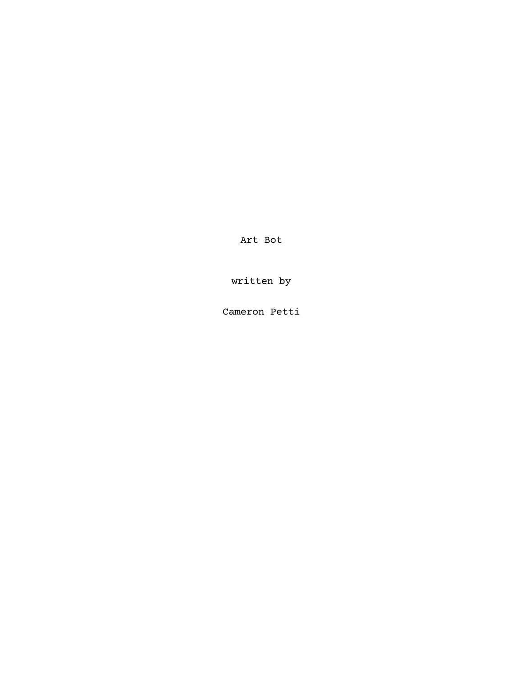Art Bot

written by

Cameron Petti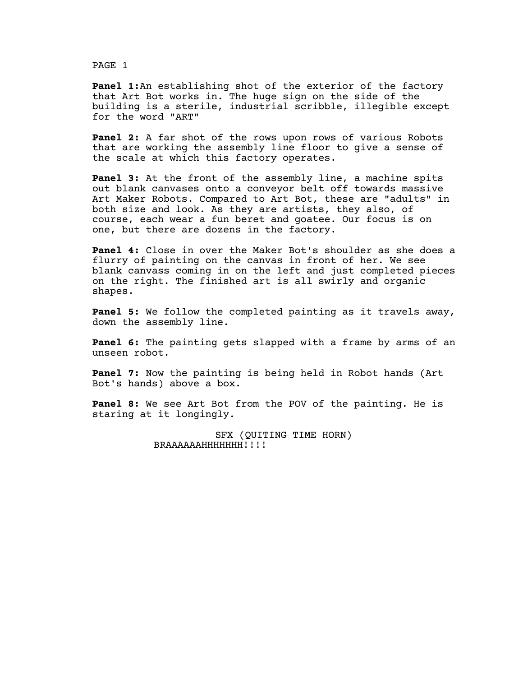**Panel 1:**An establishing shot of the exterior of the factory that Art Bot works in. The huge sign on the side of the building is a sterile, industrial scribble, illegible except for the word "ART"

**Panel 2:** A far shot of the rows upon rows of various Robots that are working the assembly line floor to give a sense of the scale at which this factory operates.

**Panel 3:** At the front of the assembly line, a machine spits out blank canvases onto a conveyor belt off towards massive Art Maker Robots. Compared to Art Bot, these are "adults" in both size and look. As they are artists, they also, of course, each wear a fun beret and goatee. Our focus is on one, but there are dozens in the factory.

**Panel 4:** Close in over the Maker Bot's shoulder as she does a flurry of painting on the canvas in front of her. We see blank canvass coming in on the left and just completed pieces on the right. The finished art is all swirly and organic shapes.

**Panel 5:** We follow the completed painting as it travels away, down the assembly line.

**Panel 6:** The painting gets slapped with a frame by arms of an unseen robot.

**Panel 7:** Now the painting is being held in Robot hands (Art Bot's hands) above a box.

**Panel 8:** We see Art Bot from the POV of the painting. He is staring at it longingly.

> SFX (QUITING TIME HORN) BRAAAAAAHHHHHHH!!!!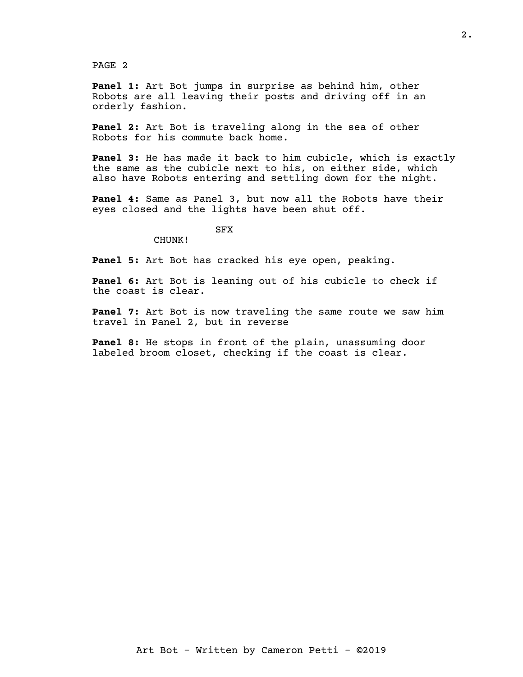**Panel 1:** Art Bot jumps in surprise as behind him, other Robots are all leaving their posts and driving off in an orderly fashion.

**Panel 2:** Art Bot is traveling along in the sea of other Robots for his commute back home.

**Panel 3:** He has made it back to him cubicle, which is exactly the same as the cubicle next to his, on either side, which also have Robots entering and settling down for the night.

**Panel 4:** Same as Panel 3, but now all the Robots have their eyes closed and the lights have been shut off.

## SFX

CHUNK!

**Panel 5:** Art Bot has cracked his eye open, peaking.

**Panel 6:** Art Bot is leaning out of his cubicle to check if the coast is clear.

**Panel 7:** Art Bot is now traveling the same route we saw him travel in Panel 2, but in reverse

**Panel 8:** He stops in front of the plain, unassuming door labeled broom closet, checking if the coast is clear.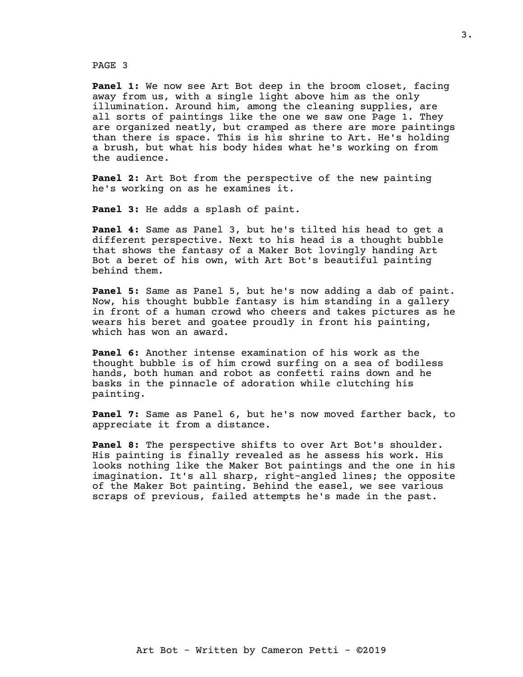**Panel 1:** We now see Art Bot deep in the broom closet, facing away from us, with a single light above him as the only illumination. Around him, among the cleaning supplies, are all sorts of paintings like the one we saw one Page 1. They are organized neatly, but cramped as there are more paintings than there is space. This is his shrine to Art. He's holding a brush, but what his body hides what he's working on from the audience.

**Panel 2:** Art Bot from the perspective of the new painting he's working on as he examines it.

**Panel 3:** He adds a splash of paint.

**Panel 4:** Same as Panel 3, but he's tilted his head to get a different perspective. Next to his head is a thought bubble that shows the fantasy of a Maker Bot lovingly handing Art Bot a beret of his own, with Art Bot's beautiful painting behind them.

**Panel 5:** Same as Panel 5, but he's now adding a dab of paint. Now, his thought bubble fantasy is him standing in a gallery in front of a human crowd who cheers and takes pictures as he wears his beret and goatee proudly in front his painting, which has won an award.

**Panel 6:** Another intense examination of his work as the thought bubble is of him crowd surfing on a sea of bodiless hands, both human and robot as confetti rains down and he basks in the pinnacle of adoration while clutching his painting.

**Panel 7:** Same as Panel 6, but he's now moved farther back, to appreciate it from a distance.

**Panel 8:** The perspective shifts to over Art Bot's shoulder. His painting is finally revealed as he assess his work. His looks nothing like the Maker Bot paintings and the one in his imagination. It's all sharp, right-angled lines; the opposite of the Maker Bot painting. Behind the easel, we see various scraps of previous, failed attempts he's made in the past.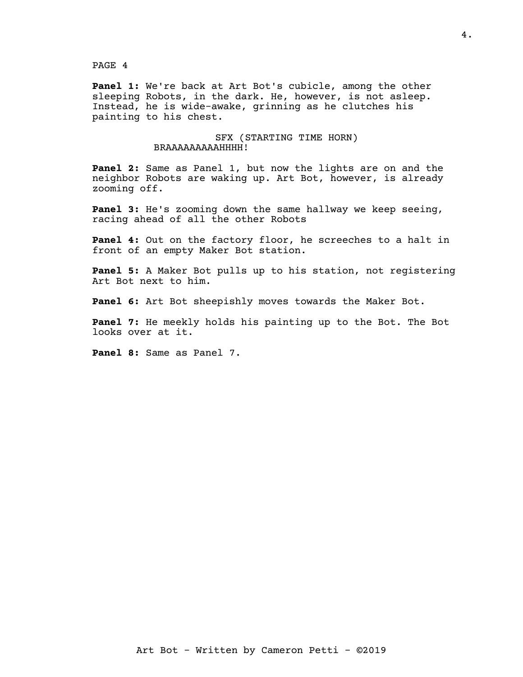**Panel 1:** We're back at Art Bot's cubicle, among the other sleeping Robots, in the dark. He, however, is not asleep. Instead, he is wide-awake, grinning as he clutches his painting to his chest.

> SFX (STARTING TIME HORN) BRAAAAAAAAAHHHH!

**Panel 2:** Same as Panel 1, but now the lights are on and the neighbor Robots are waking up. Art Bot, however, is already zooming off.

**Panel 3:** He's zooming down the same hallway we keep seeing, racing ahead of all the other Robots

**Panel 4:** Out on the factory floor, he screeches to a halt in front of an empty Maker Bot station.

**Panel 5:** A Maker Bot pulls up to his station, not registering Art Bot next to him.

**Panel 6:** Art Bot sheepishly moves towards the Maker Bot.

**Panel 7:** He meekly holds his painting up to the Bot. The Bot looks over at it.

**Panel 8:** Same as Panel 7.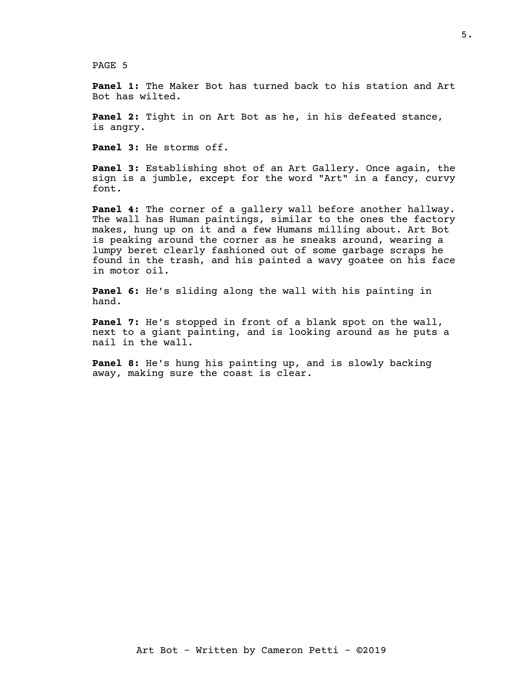**Panel 1:** The Maker Bot has turned back to his station and Art Bot has wilted.

**Panel 2:** Tight in on Art Bot as he, in his defeated stance, is angry.

**Panel 3:** He storms off.

**Panel 3:** Establishing shot of an Art Gallery. Once again, the sign is a jumble, except for the word "Art" in a fancy, curvy font.

**Panel 4:** The corner of a gallery wall before another hallway. The wall has Human paintings, similar to the ones the factory makes, hung up on it and a few Humans milling about. Art Bot is peaking around the corner as he sneaks around, wearing a lumpy beret clearly fashioned out of some garbage scraps he found in the trash, and his painted a wavy goatee on his face in motor oil.

**Panel 6:** He's sliding along the wall with his painting in hand.

**Panel 7:** He's stopped in front of a blank spot on the wall, next to a giant painting, and is looking around as he puts a nail in the wall.

**Panel 8:** He's hung his painting up, and is slowly backing away, making sure the coast is clear.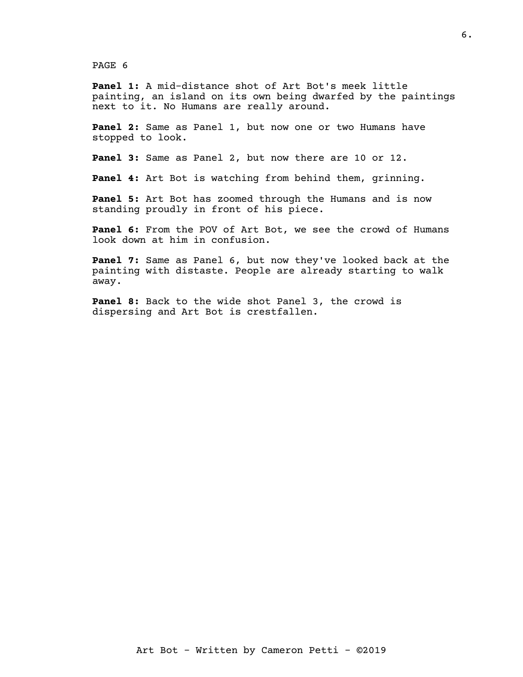**Panel 1:** A mid-distance shot of Art Bot's meek little painting, an island on its own being dwarfed by the paintings next to it. No Humans are really around.

**Panel 2:** Same as Panel 1, but now one or two Humans have stopped to look.

**Panel 3:** Same as Panel 2, but now there are 10 or 12.

**Panel 4:** Art Bot is watching from behind them, grinning.

**Panel 5:** Art Bot has zoomed through the Humans and is now standing proudly in front of his piece.

**Panel 6:** From the POV of Art Bot, we see the crowd of Humans look down at him in confusion.

**Panel 7:** Same as Panel 6, but now they've looked back at the painting with distaste. People are already starting to walk away.

**Panel 8:** Back to the wide shot Panel 3, the crowd is dispersing and Art Bot is crestfallen.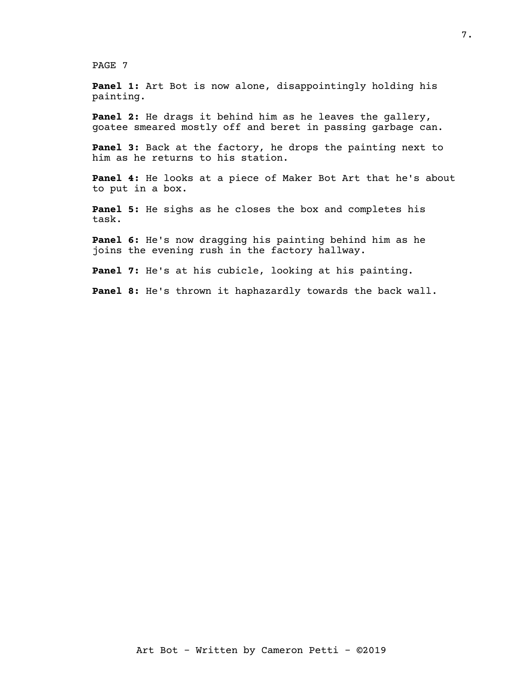**Panel 1:** Art Bot is now alone, disappointingly holding his painting.

**Panel 2:** He drags it behind him as he leaves the gallery, goatee smeared mostly off and beret in passing garbage can.

**Panel 3:** Back at the factory, he drops the painting next to him as he returns to his station.

**Panel 4:** He looks at a piece of Maker Bot Art that he's about to put in a box.

**Panel 5:** He sighs as he closes the box and completes his task.

**Panel 6:** He's now dragging his painting behind him as he joins the evening rush in the factory hallway.

**Panel 7:** He's at his cubicle, looking at his painting.

**Panel 8:** He's thrown it haphazardly towards the back wall.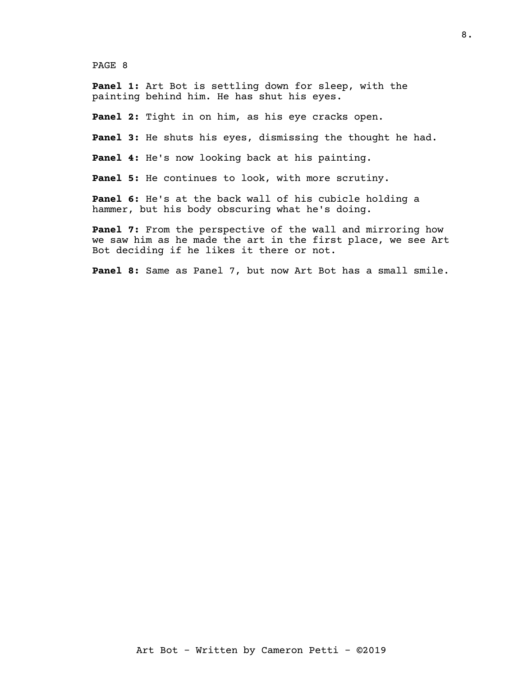**Panel 1:** Art Bot is settling down for sleep, with the painting behind him. He has shut his eyes.

**Panel 2:** Tight in on him, as his eye cracks open.

**Panel 3:** He shuts his eyes, dismissing the thought he had.

**Panel 4:** He's now looking back at his painting.

**Panel 5:** He continues to look, with more scrutiny.

**Panel 6:** He's at the back wall of his cubicle holding a hammer, but his body obscuring what he's doing.

**Panel 7:** From the perspective of the wall and mirroring how we saw him as he made the art in the first place, we see Art Bot deciding if he likes it there or not.

**Panel 8:** Same as Panel 7, but now Art Bot has a small smile.